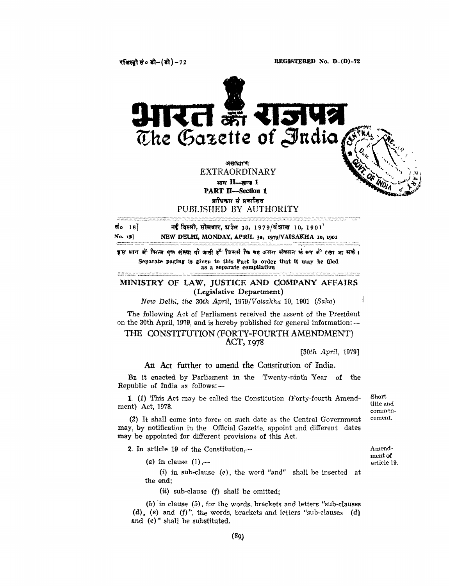

The following Act of Parliament received the assent of the President on the 30th April, 1979, and is hereby published for general information: —

THE CONSTITUTION (FORTY-FOURTH AMENDMENT)

ACT, 1978

[30th. April, 1979]

An Act further to amend the Constitution of India.

BE It enacted by Parliament in the Twenty-ninth Year of the Republic of India as follows: —

1. (1) This Act may be called the Constitution (Forty-fourth Amendment) Act, 1978.

**Short** title and commencement.

Amendment of article 19.

(2) It shall come into force on such date as the Central Government may, by notification in the Official Gazette, appoint and different dates may be appointed for different provisions of this Act.

2. In article 19 of the Constitution,—

(a) in clause (1) *,—-*

(i) in sub-clause (e), the word "and" shall be inserted at the end;

*(ii)* sub-clause (f) shall be omitted;

(b) in clause (5), for the words, brackets and letters "sub-clauses  $(d)$ ,  $(e)$  and  $(f)$ ", the words, brackets and letters "sub-clauses  $(d)$ and (e)" shall be substituted.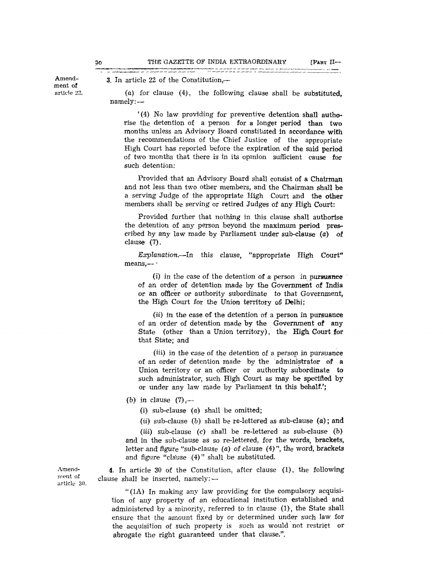يديد بالمستم

Amendment of article 22.

3. In article 22 of the Constitution,—

(a) for clause (4), the following clause shall be substituted, namely: —

'(4) No law providing for preventive detention shall authorise the detention of a person for a longer period than two months unless an Advisory Board constituted In accordance with the recommendations of the Chief Justice of the appropriate High Court has reported before the expiration of the said period of two months that there is in its opinion sufficient cause for such detention:

Provided that an Advisory Board shall consist of a Chairman and not less than two other members, and the Chairman shall be a serving Judge of the appropriate High Court and the other members shall be serving or retired Judges of any High Court:

Provided further that nothing in this clause shall authorise the detention of any person beyond the maximum period prescribed by any law made by Parliament under sub-clause *(a)* of clause (7).

*Explanation.*—In this clause, "appropriate High Court" means,---

*(i)* in the case of the detention of a person in pursuance of an order of detention made by the Government of India or an officer or authority subordinate to that Government, the High Court for the Union territory of Delhi;

*(ii)* in the case of the detention of a person in pursuance of an order of detention made by the Government of any State (other than a Union territory), the High Court for that State; and

*(in)* in the case of the detention of a person in pursuance of an order of detention made by the administrator of a Union territory or an officer or authority subordinate to such administrator, such High Court as may be specified by or under any law made by Parliament in this behalf.';

(b) in clause  $(7)$ ,—

(i) sub-clause  $(a)$  shall be omitted;

*(ii)* sub-clause *(b)* shall be re-lettered as sub-clause (a); and

(*iii*) sub-clause (*c*) shall be re-lettered as sub-clause (*b*) and in the sub-clause as so re-lettered, for the words, brackets, letter and figure "sub-clause  $(a)$  of clause  $(4)$ ", the word, brackets and figure "clause (4)" shall be substituted.

4. In article 30 of the Constitution, after clause (1), the following clause shall be inserted, namely: $-$ 

"(1A) In making any law providing for the compulsory acquisition of any property of an educational institution established and administered by a minority, referred to in clause (1), the State shall ensure that the amount fixed by or determined under such law for the acquisition of such property is such as would not restrict or abrogate the right guaranteed under that clause.".

Amendment of article 30.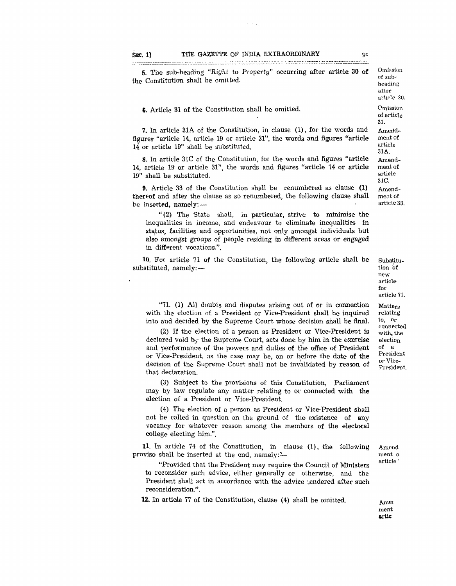$\sim 10^7$ 

 $\begin{array}{lll} \mathcal{L}_{\mathcal{A}} & \mathcal{L}_{\mathcal{A}} & \mathcal{L}_{\mathcal{A}} & \mathcal{L}_{\mathcal{A}} \\ \mathcal{L}_{\mathcal{A}} & \mathcal{L}_{\mathcal{A}} & \mathcal{L}_{\mathcal{A}} & \mathcal{L}_{\mathcal{A}} \\ \mathcal{L}_{\mathcal{A}} & \mathcal{L}_{\mathcal{A}} & \mathcal{L}_{\mathcal{A}} & \mathcal{L}_{\mathcal{A}} \\ \mathcal{L}_{\mathcal{A}} & \mathcal{L}_{\mathcal{A}} & \mathcal{L}_{\mathcal{A}} & \mathcal{L}_{\mathcal{A}} \\ \mathcal{$ 

5. The sub-heading "Right to Property" occurring after article 30 of the Constitution shall be omitted.

.<br>2002 - La alemandade de la contrador de la final de la contrada de la final de la final de la condeza de la co<br>2002 - La contrada del contrador de la final de la contrada de la final de la final de la condeza de la final

 $\alpha = \alpha \cdot \alpha_1$ 

6. Article 31 of the Constitution shall be omitted.

7. In article 31A of the Constitution, in clause (1), for the words and figures "article 14, article 19 or article 31", the words and figures "article 14 or article 19" shall be substituted.

8. In article 31C of the Constitution, for the words and figures "article 14, article 19 or article 31", the words and figures "article 14 or article 19" shall be substituted.

**9.** Article 38 of the Constitution shall be renumbered as clause (1) thereof and after the clause as so renumbered, the following clause shall be inserted, namely: —

"(2) The State shall, in particular, strive to minimise the inequalities in income, and endeavour to eliminate inequalities in status, facilities and opportunities, not only amongst individuals but also amongst groups of people residing in different areas or engaged in different vocations.".

10. For article 71 of the Constitution, the following article shall be substituted, namely: —

Substitution of newarticle for article 71.

Matters relating to, or connected with, the election of a President or Vice-President.

"71. (1) All doubts and disputes arising out of or in connection with the election of a President or Vice-President shall be inquired into and decided by the Supreme Court whose decision shall be final.

(2) If the election of a person as President or Vice-President is declared void *hy* the Supreme Court, acts done by him in the exercise and performance of the powers and duties of the office of President or Vice-President, as the case may be, on or before the date of the decision of the Supreme Court shall not be invalidated by reason of that declaration.

(3) Subject to the provisions of this Constitution, Parliament may by law regulate any matter relating to or connected with the election of a President or Vice-President.

(4) The election of a person as President or Vice-President shall not be called in question on the ground of the existence of any vacancy for whatever reason among the members of the electoral college electing him.".

11. In article 74 of the Constitution, in clause (1), the following proviso shall be inserted at the end, namely: $\mathcal{L}$ 

"Provided that the President may require the Council of Ministers to reconsider such advice, either generally or otherwise, and the President shall act in accordance with the advice tendered after such reconsideration.".

12. In article 77 of the Constitution, clause (4) shall be omitted.

Amei ment **ertic** 

Amendment 0 article'

ment of article 31A,

Omission of subheading after article SO. Omission of article 31. Amertd-

article 31C. Amend-

ment ol' article 33.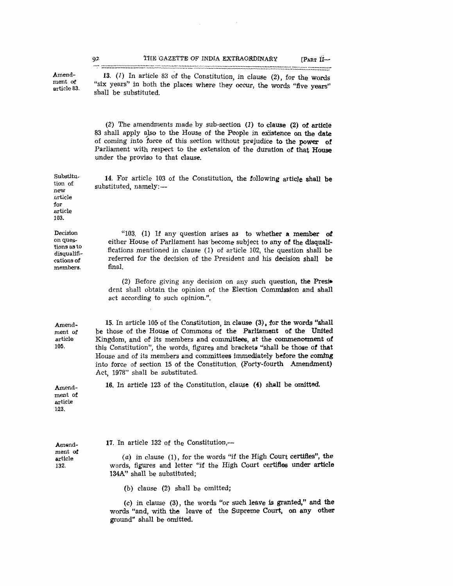92 *Tim* GAZETTE OF INDIA EXTRAOHDINA&Y [PART *H—*

Amendment of article 83.

13.  $(1)$  In article 83 of the Constitution, in clause  $(2)$ , for the words "six years" in both the places where they occur, the words "five years" shall be substituted.

(2) The amendments made by sub-section  $(1)$  to clause  $(2)$  of article 83 shall apply ajso to the House of the People *in* existence on the date of coming into force of this section without prejudice to the power of Parliament with respect to the extension of the duration of that House under the proviso to that clause.

14. For article 103 of the Constitution, the following article shall be substituted, namely: — Substitution of

new article for article 103.

Decision on questions as to disqualifications of members.

"103. (1) If any question arises as to whether a member of either House of Parliament has become subject to any of the disqualifications mentioned in clause (1) of article 102, the question shall be referred for the decision of the President and his decision shall be final.

(2) Before giving any decision on any such question, the Presi» dent shall obtain the opinion of the Election Commission and shall act according to such opinion.".

Amendment of article 105.

15. In article 105 of the Constitution, in clause (3), for the words "shall be those of the House of Commons of the Parliament of the United Kingdom, and of its members and committees, at the commencement of this Constitution", the words, figures and brackets "shall be those of that House and of its members and committees immediately before the coming into force of section 15 of the Constitution (Forty-fourth Amendment) Act, 1978" shall be substituted.

16. In article 123 of the Constitution, clause (4) shall be omitted

ment of article 123.

Amend-

17. In article 132 of the Constitution,— (a) in clause (1), for the words "if the High Court certifies", the words, figures and letter "if the High Court certifies under article 134A" shall be substituted; Amendment of article 132.

(b) clause (2) shall be omitted;

(c) in clause (3), the words "or such leave is granted," and the words "and, with the leave of the Supreme Court, on any other ground" shall be omitted.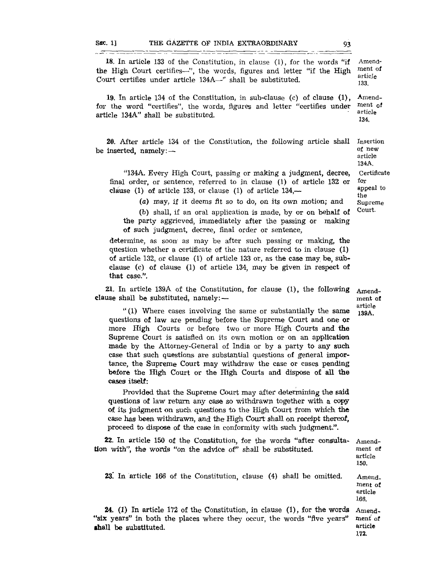18. In article 133 of the Constitution, in clause (1), for the words "if the High Court certifies—", the words, figures and letter "if the High Court certifies under article 134A—" shall be substituted. Amendment of article 133.

<u> Maria Tangang di Manaza</u>

19. In article 134 of the Constitution, in sub-clause (c) of clause (1), for the word "certifies", the words, figures and letter "certifies under article 134A" shall be substituted. ment of

20. After article 134 of the Constitution, the following article shall be inserted, namely: —

"134A. Every High Court, passing or making a judgment, decree, final order, or sentence, referred to in clause (1) of article 132 or clause (1) of article 133, or clause (1) of article 134,—

(a) may, if it deems fit so to do, on its own motion; and

(b) shall, if an oral application is made, by or on behalf of the party aggrieved, immediately after the passing or making of such judgment, decree, final order or sentence,

determine, as soon as may be after such passing or making, the question whether a certificate of the nature referred to in clause (1) of article 132, or clause (1) of article 133 or, as the case may be, subclause (c) of clause (1) of article 134, may be given in respect of that case.".

21. In article 139A of the Constitution, for clause (1), the following clause shall be substituted, namely: —

" (1) Where cases involving the same or substantially the same questions of law are pending before the Supreme Court and one or more High Courts or before two or more High Courts and the Supreme Court is satisfied on its own motion or on an application made by the Attorney-General of India or by a party to any such case that such questions are substantial questions of general importance, the Supreme Court may withdraw the case or cases pending before the High Court or the High Courts and dispose of all the cases itself:

Provided that the Supreme Court may after determining the said questions of law return any case so withdrawn together with a copy of its judgment on such, questions to the High Court from which the case hag been withdrawn, and the High Court shall on receipt thereof, proceed to dispose of the case in conformity with such judgment.".

22. In article 150 of the Constitution, for the words "after consultation with", the words "on the advice of" shall be substituted. Amendment of article

23! In article 166 of the Constitution, clause (4) shall be omitted.

Amendment of article 166.

150.

24. (1) In article 172 of the Constitution, in clause (1), for the words "six years" in both the places where they occur, the words "five years" •hall be substituted. Amendment of article 172.

Insertion of newarticle 134A. **Certificate** for appeal to the Supreme Court.

Amend-

article **134.**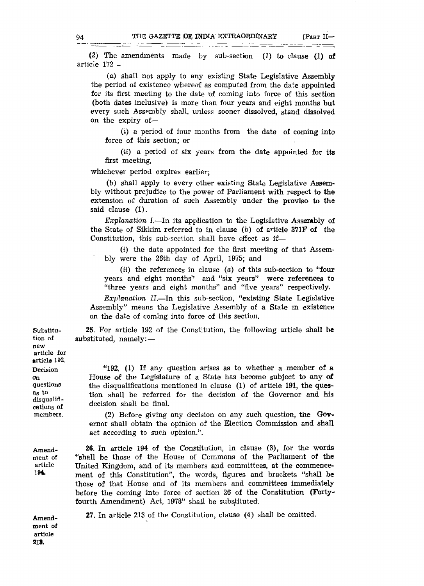<del>tanan di</del>

- 1227 T.T

(2) The amendments made by sub-section *(1)* to clause (1) of article 172—

(a) shall not apply to any existing State Legislative Assembly the period of existence whereof as computed from the date appointed for its first meeting to the date of coming into force of this section (both dates inclusive) is more than four years and eight months but every such Assembly shall, unless sooner dissolved, stand dissolved on the expiry of—

(i) a period of four months from the date of coming into force of this section; or

*(ii)* a period of six years from the date appointed for its first meeting,

whichever period expires earlier;

(b) shall apply to every other existing State Legislative Assembly without prejudice to the power of Parliament with respect to the extension of duration of such Assembly under the proviso to the said clause (1).

*Explanation I.—In* its application to the Legislative Assembly of the State of Sikkim referred to in clause  $(b)$  of article 371F of the Constitution, this sub-section shall have effect as if—

(i) the date appointed for the first meeting of that Assembly were the 26th day of April, 1975; and

*(ii)* the references in clause (a) of this sub-section to "four years and eight months'' and "six years" were references to "three years and eight months" and "five years" respectively.

*Explanation II.*—In this sub-section, "existing State Legislative Assembly" means the Legislative Assembly of a State in existence on the date of coming into force of this section.

25. For article 192 of the Constitution, the following article shall be substituted, namely:-

> "192. (1) If any question arises as to whether a member of a House of the Legislature of a State has become subject to any of the disqualifications mentioned in clause (1) of article 191, the question shall be referred for the decision of the Governor and his decision shall be final.

> (2) Before giving any decision on any such question, the Governor shall obtain the opinion of the Election Commission and shall act according to such opinion,".

26. In article 194 of the Constitution, in clause (3), for the words "shall be those of the House of Commons of the Parliament of the United Kingdom, and of its members and committees, at the commencement of this Constitution", the words, figures and brackets "shall be those of that House and of its members and committees immediately before the coming into force of section 26 of the Constitution (Forty- fourth Amendment) Act, 1978" shall be substituted.

27. In article 213 of the Constitution, clause (4) shall be omitted.

Substitution of new article for article 192. Decision on questions as to disqualifications of members.

Amendment of article **194.**

Amendment of article **218.**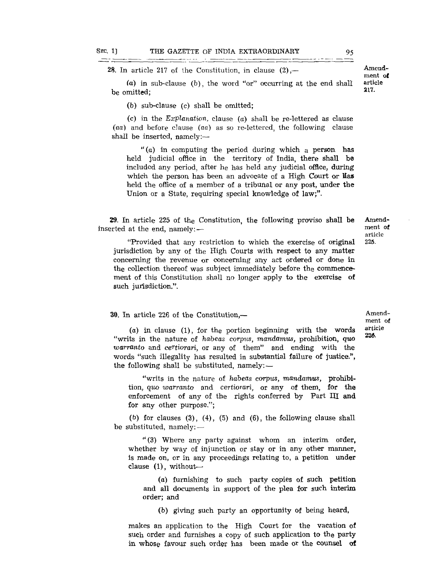$\equiv$   $\approx$ 

28. In article 217 of the Constitution, in clause  $(2)$ ,

*(a)* in sub-clause (b), the word "or" occurring at the end shall be omitted;

.<br>1980 - Maria Maria Maria Maria Maria Maria Maria Maria Maria Maria Maria Maria Maria Maria Maria Maria Maria M<br>1981 - Maria Maria Maria Maria Maria Maria Maria Maria Maria Maria Maria Maria Maria Maria Maria Maria Maria

(b) sub-clause (c) shall be omitted;

(c) in the *Explanation,* clause (a) shall be re-lettered as clause *(aa)* and before clause *(aa)* as so re-lettered, the following clause shall be inserted, namely:—

" $(a)$  in computing the period during which a person has held judicial office in the territory of India, there shall be included any period, after he has held any judicial office, during which the person has been an advocate of a High Court or **Nas** held the office of a member of a tribunal or any post, under the Union or a State, requiring special knowledge of law;".

29. In. article 225 of the Constitution, the following proviso shall be inserted at the end, namely: —

"Provided that any restriction to which the exercise of original jurisdiction by any of the High Courts with respect to any matter concerning the revenue or concerning any act ordered or done in the collection thereof was subject immediately before the commencement of this Constitution shall no longer apply to the exercise of such jurisdiction.".

30. In article 226 of the Constitution,—

(a) in clause (1), for the portion beginning with the words "writs in the nature of *habeas* corpus, *mandamus,* prohibition, quo *warranto* and *certiorari,* or any of them" and ending with the words "such illegality has resulted in substantial failure of justice.", the following shall be substituted, namely: —

"writs in the nature of *habeas corpus, mandamus,* prohibition, *quo warranto* and *certiorari,* or any of them, for the enforcement of any of the rights conferred by Part III and for any other purpose.";

(b) for clauses (3), (4), (5) and (6), the following clause shall be substituted, namely: —

"(3) Where any party against whom an interim order, whether by way of injunction or stay or in any other manner, is made on, or in any proceedings relating to, a petition under clause (1), without—

(a) furnishing to such party copies of such petition and all documents in support of the plea for such interim order; and

(b) giving such party an opportunity of being heard,

makes an application to the High Court for the vacation of such order and furnishes a copy of such application to the party in whose favour such order has been made or the counsel of Amendment *ot* article 317.

Amendment of article 226.

Amendment of article 224.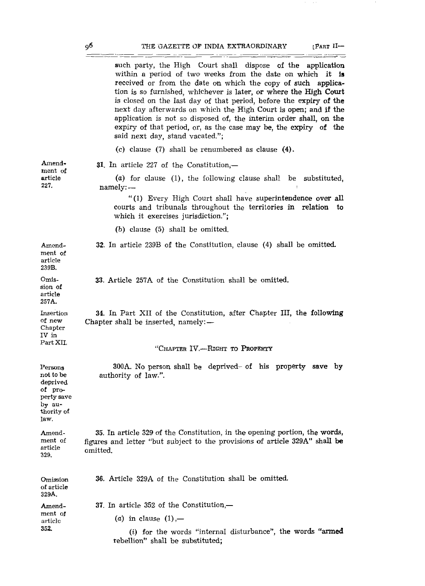المستحقق المستنقل المستنقل المستنقل المستنقل المستنقل المستنقل

 $\sim 200$  km s  $^{-1}$ 

|                                                                                           | such party, the High Court shall dispose of the application<br>within a period of two weeks from the date on which it is<br>received or from the date on which the copy of such applica-<br>tion is so furnished, whichever is later, or where the High Court<br>is closed on the last day of that period, before the expiry of the<br>next day afterwards on which the High Court is open; and if the<br>application is not so disposed of, the interim order shall, on the<br>expiry of that period, or, as the case may be, the expiry of the<br>said next day, stand vacated.";<br>(c) clause $(7)$ shall be renumbered as clause $(4)$ . |
|-------------------------------------------------------------------------------------------|-----------------------------------------------------------------------------------------------------------------------------------------------------------------------------------------------------------------------------------------------------------------------------------------------------------------------------------------------------------------------------------------------------------------------------------------------------------------------------------------------------------------------------------------------------------------------------------------------------------------------------------------------|
| Amend-                                                                                    |                                                                                                                                                                                                                                                                                                                                                                                                                                                                                                                                                                                                                                               |
| ment of<br>article<br>227.                                                                | <b>31.</b> In article 227 of the Constitution, $-$<br>(a) for clause $(1)$ , the following clause shall be substituted,                                                                                                                                                                                                                                                                                                                                                                                                                                                                                                                       |
|                                                                                           | $namely:$ $-$                                                                                                                                                                                                                                                                                                                                                                                                                                                                                                                                                                                                                                 |
|                                                                                           | "(1) Every High Court shall have superintendence over all<br>courts and tribunals throughout the territories in relation to<br>which it exercises jurisdiction.";                                                                                                                                                                                                                                                                                                                                                                                                                                                                             |
|                                                                                           | $(b)$ clause $(5)$ shall be omitted.                                                                                                                                                                                                                                                                                                                                                                                                                                                                                                                                                                                                          |
| Amend-<br>ment of<br>article<br>239B.                                                     | 32. In article 239B of the Constitution, clause (4) shall be omitted.                                                                                                                                                                                                                                                                                                                                                                                                                                                                                                                                                                         |
| Omis-<br>sion of<br>article<br>257A.                                                      | 33. Article 257A of the Constitution shall be omitted.                                                                                                                                                                                                                                                                                                                                                                                                                                                                                                                                                                                        |
| Insertion<br>of new<br>Chapter<br>$IV$ in                                                 | 34. In Part XII of the Constitution, after Chapter III, the following<br>Chapter shall be inserted, namely:-                                                                                                                                                                                                                                                                                                                                                                                                                                                                                                                                  |
| Part XII,                                                                                 | "CHAPTER IV.---RIGHT TO PROPERTY                                                                                                                                                                                                                                                                                                                                                                                                                                                                                                                                                                                                              |
| Persons<br>not to be<br>deprived<br>of pro-<br>perty save<br>by au-<br>thority of<br>law. | 300A. No person shall be deprived- of his property save<br>by<br>authority of law.".                                                                                                                                                                                                                                                                                                                                                                                                                                                                                                                                                          |
| Amend-<br>ment of<br>article<br>329.                                                      | 35. In article 329 of the Constitution, in the opening portion, the words,<br>figures and letter "but subject to the provisions of article 329A" shall be<br>omitted.                                                                                                                                                                                                                                                                                                                                                                                                                                                                         |
| Omission<br>of article<br>329A.                                                           | 36. Article 329A of the Constitution shall be omitted.                                                                                                                                                                                                                                                                                                                                                                                                                                                                                                                                                                                        |
| Amend-<br>ment of<br>article                                                              | 37. In article 352 of the Constitution,—                                                                                                                                                                                                                                                                                                                                                                                                                                                                                                                                                                                                      |
|                                                                                           | ( <i>a</i> ) in clause $(1)$ ,—                                                                                                                                                                                                                                                                                                                                                                                                                                                                                                                                                                                                               |
| 352.                                                                                      | (i) for the words "internal disturbance", the words "armed<br>rebellion" shall be substituted;                                                                                                                                                                                                                                                                                                                                                                                                                                                                                                                                                |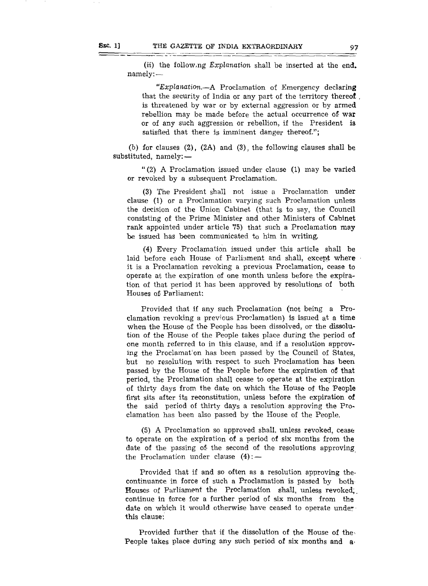*(ii)* the following Explanation shall be inserted at the end. namely: —

*"Explanation.*—A Proclamation of Emergency declaring that the security of India or any part of the territory thereof , is threatened by war or by external aggression or by armed rebellion may be made before the actual occurrence of war or of any such aggression or rebellion, if the President is satisfied that there is imminent danger thereof.";

(b) for clauses (2), (2A) and (3), the following clauses shall be substituted, namely: —

" (2) A Proclamation issued under clause (1) may be varied or revoked by a subsequent Proclamation.

(3) The President shall not issue a Proclamation under clause (1) or a Proclamation varying such Proclamation unless the decision of the Union Cabinet (that is to say, the Council consisting of the Prime Minister and other Ministers of Cabinet rank appointed under article 75) that such a Proclamation may be issued has been communicated to him in writing,

(4) Every Proclamation issued under this article shall be laid before each House of Parliament and shall, except where it is a Proclamation revoking a previous Proclamation, cease to operate at the expiration of one month unless before the expiration of that period it has been approved by resolutions of both Houses of Parliament:

Provided that if any such Proclamation (not being a Proclamation revoking a previous Proclamation) is issued at a time when the House of the People has been dissolved, or the dissolution of the House of the People takes place during the period of one month referred to in this clause, and if a resolution approving the Proclamation has been passed by the Council of States, but no resolution with respect to such Proclamation has been passed by the House of the People before the expiration of that period, the Proclamation shall cease to operate at the expiration of thirty days from the date on which the House of the People first sits after its reconstitution, unless before the expiration of the said period of thirty days a resolution approving the Proclamation has been also passed by the House of the People.

(5) A Proclamation so approved shall, unless revoked, cease to operate on the expiration of a period of six months from the date of the passing of the second of the resolutions approving the Proclamation under clause  $(4)$ :  $-$ 

Provided that if and so often as a resolution approving thecontinuance in force of such a Proclamation is passed by both Houses of Parliament the Proclamation shall, unless revoked, continue in force for a further period of six months from the date on which it would otherwise have ceased to operate under this clause:

Provided further that if the dissolution of the House of the People takes place during any such period of six months and *a-*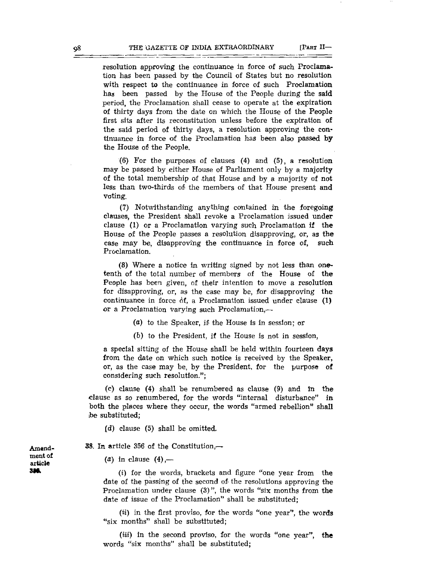resolution approving the continuance in force of such Proclamation has been passed by the Council of States but no resolution with respect to the continuance in force of such Proclamation has been passed by the House of the People during the said period, the Proclamation shall cease to operate at the expiration of thirty days from the date on which the House of the People first sits after its reconstitution unless before the expiration of the said period of thirty days, a resolution approving the continuance in force of the Proclamation has been also passed by the House of the People.

(6) For the purposes of clauses (4) and (5), a resolution may be passed by either House of Parliament only by a majority of the total membership of that House and by a majority of not less than two-thirds of the members of that House present and voting.

(7) Notwithstanding anything contained in the foregoing clauses, the President shall revoke a Proclamation issued under clause (1) or a Proclamation varying such Proclamation if the House of the People passes a resolution disapproving, or, as the case may be, disapproving the continuance in force of, such Proclamation.

(8) Where a notice in writing signed by not less than onetenth of the total number of members of the House of the People has been given, of their intention to move a resolution for disapproving, or, as the case may be, for disapproving the continuance in force  $df$ , a Proclamation issued under clause (1) or a Proclamation varying such Proclamation,—

(a) to the Speaker, if the House Is In session; or

(b) to the President, if the House is not in session,

a special sitting of the House shall be held within fourteen days from the date on which such notice is received by the Speaker, or, as the case may be, by the President, for the purpose of considering such resolution.";

(c) clause (4) shall be renumbered as clause (9) and In the clause as so renumbered, for the words "internal disturbance" in both the places where they occur, the words "armed rebellion" shall be substituted;

(d) clause (5) shall be omitted.

38. In article 356 of the Constitution,—

(a) in clause  $(4)$ ,—

(i) for the words, brackets and figure "one year from the date of the passing of the second of the resolutions approving the Proclamation under clause (3)", the words "six months from the date of issue of the Proclamation" shall be substituted;

*(ii)* in the first proviso, for the words "one year", the words "six months" shall be substituted;

(*iii*) in the second proviso, for the words "one year", the words "six months" shall be substituted;

Amendment of article 3M.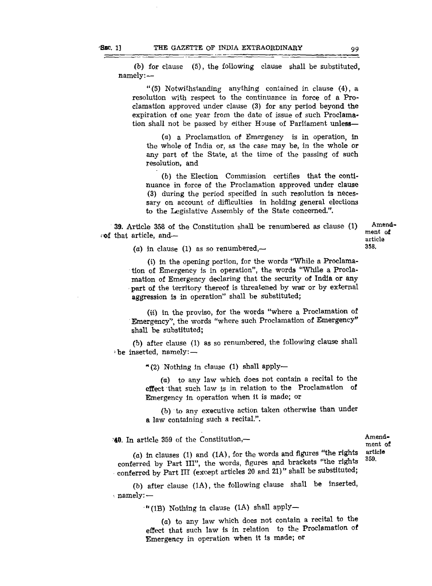سيعم ومعاديات

(b) for clause (5), the following clause shall be substituted, namely: —

"(5) Notwithstanding anything contained in clause (4), a resolution with respect to the continuance in force of a Proclamation approved under clause (3) for any period beyond the expiration of one year from the date of issue of such Proclamation shall not be passed by either House of Parliament unless-

(a) a Proclamation of Emergency is in operation, In the whole of India or, as the case may be, in the whole or any part of the State, at the time of the passing of such resolution, and

(b) the Election Commission certifies that the continuance in force of the Proclamation approved under clause (3) during the period specified in such resolution la necessary on account of difficulties in holding general elections to the Legislative Assembly of the State concerned.".

39. Article 368 of the Constitution shall be renumbered as clause (1) (Of that article, and—

Amend ment of article 358.

(a) in clause (1) as so renumbered,—

(i) in the opening portion, for the words "While a Proclamation of Emergency is in operation", the words "While a Proclamation of Emergency declaring that the security of India or any part of the territory thereof is threatened by war or by external aggression is in operation" shall be substituted;

*(ii)* in the proviso, for the words "where a Proclamation of Emergency", the words "where such Proclamation of Emergency" shall be substituted;

(b) after clause (1) as so renumbered, the following clause shall *>be* inserted, namely: —

"(2) Nothing in clause (1) shall apply—

(a) to any law which does not contain a recital to the effect'that such law is in relation to the Proclamation of Emergency in operation when it is made; or

(b) to any executive action taken otherwise than under a law containing such a recital.".

 $\mathbf{40}$ . In article 359 of the Constitution,-

(a) in clauses (1) and (1A), for the words and figures "the rights conferred by Part III", the words, figures and brackets "the rights conferred by Part IH (except articles 20 and 21)" shall be substituted; 359.

(b) after clause (1A), the following clause shall be inserted,  $,$  namely:  $-$ 

 $\cdot$ <sup>"</sup>(1B) Nothing in clause (1A) shall apply-

(a) to any law which does not contain a recital to the effect that such law is in relation to the Proclamation of Emergency in operation when it is made; or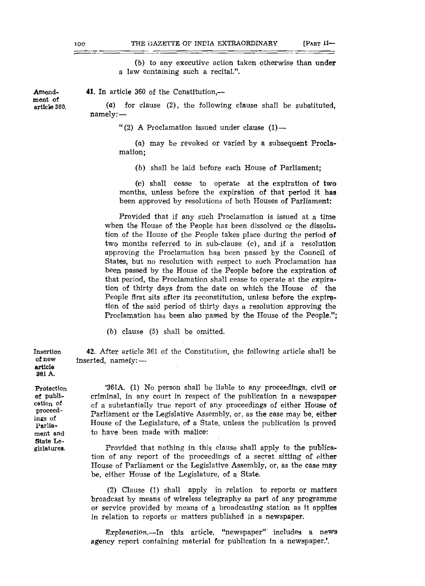(b) to any executive action taken otherwise than under a law containing such a recital.".

41. In article 360 of the Constitution,—

(a) for clause (2), the following clause shall be substituted, namely: —

"(2) A Proclamation issued under clause  $(1)$  —

(a) may be revoked or varied by a subsequent Proclamation;

(b) shall be laid before each House of Parliament;

(C) shall cease to operate at the expiration of two months, unless before the expiration of that period it has been approved by resolutions of both Houses of Parliament:

Provided that if any such Proclamation is issued at a time when the House of the People has been dissolved or the dissolution of the House of the People takes place during the period of two months referred to in sub-clause (c), and if a resolution approving the Proclamation has been passed by the Council of States, but no resolution with respect to such Proclamation has been passed by the House of the People before the expiration of that period, the Proclamation shall cease to operate at the expiration of thirty days from the date on which the House of the People first sits after its reconstitution, unless before the expiration of the said period of thirty days a resolution approving the Proclamation has been also passed by the House of the People.";

(b) clause (5) shall be omitted.

42. After article 361 of the Constitution, the following article shall be Inserted, namely: — Insertion of new

article 361 A.

Protection of publication of proceedings of Parliament and State Legislatures,

'361A. (1) No person shall be liable to any proceedings, civil or criminal, in any court in respect of the publication in a newspaper of a substantially true report of any proceedings of either House of Parliament or the Legislative Assembly, or, as the case may be, either House of the Legislature, of a State, unless the publication Is proved to have been made with malice:

Provided that nothing in this clause shall apply to the publication of any report of the proceedings of a secret sitting of either House of Parliament or the Legislative Assembly, or, as the case may be, either House of the Legislature, of a State.

(2) Clause (1) shall apply in relation to reports or matters broadcast by means of wireless telegraphy as part of any programme or service provided by means of a broadcasting station as it applies in relation to reports or matters published in a newspaper.

*Explanation,*—In this article, "newspaper" includes a news agency report containing material for publication in a newspaper.'.

Amendment of article 360.